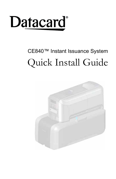

# CE840™ Instant Issuance System Quick Install Guide

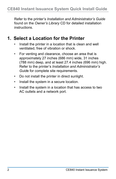Refer to the printer's *Installation and Administrator's Guide*  found on the *Owner's Library* CD for detailed installation instructions.

#### **1. Select a Location for the Printer**

- Install the printer in a location that is clean and well ventilated, free of vibration or shock.
- For venting and clearance, choose an area that is approximately 27 inches (686 mm) wide, 31 inches (788 mm) deep, and at least 27.4 inches (696 mm) high. Refer to the printer's *Installation and Administrator's Guid*e for complete site requirements.
- Do not install the printer in direct sunlight.
- Install the system in a secure location.
- Install the system in a location that has access to two AC outlets and a network port.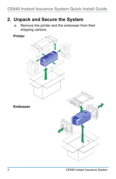#### **2. Unpack and Secure the System**

a. Remove the printer and the embosser from their shipping cartons.

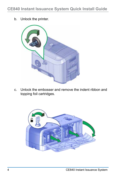b. Unlock the printer.



c. Unlock the embosser and remove the indent ribbon and topping foil cartridges.

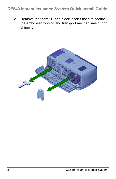#### **CE840 Instant Issuance System Quick Install Guide**

d. Remove the foam "T" and block inserts used to secure the embosser topping and transport mechanisms during shipping.

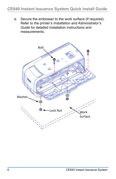#### **CE840 Instant Issuance System Quick Install Guide**

e. Secure the embosser to the work surface (if required). Refer to the printer's *Installation and Administrator's Guide* for detailed installation instructions and measurements.

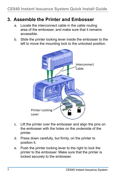#### **3. Assemble the Printer and Embosser**

- a. Locate the interconnect cable in the cable routing area of the embosser, and make sure that it remains accessible.
- b. Slide the printer locking lever inside the embosser to the left to move the mounting lock to the unlocked position.



- c. Lift the printer over the embosser and align the pins on the embosser with the holes on the underside of the printer.
- d. Press down carefully, but firmly, on the printer to position it.
- e. Push the printer locking lever to the right to lock the printer to the embosser. Make sure that the printer is locked securely to the embosser.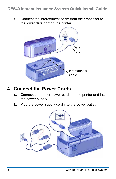f. Connect the interconnect cable from the embosser to the lower data port on the printer.



#### **4. Connect the Power Cords**

- a. Connect the printer power cord into the printer and into the power supply.
- b. Plug the power supply cord into the power outlet.

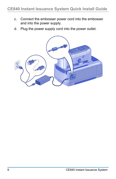- c. Connect the embosser power cord into the embosser and into the power supply.
- d. Plug the power supply cord into the power outlet.

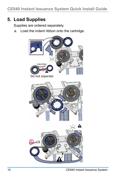# **5. Load Supplies**

Supplies are ordered separately.

a. Load the indent ribbon onto the cartridge.

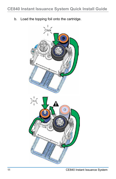b. Load the topping foil onto the cartridge.

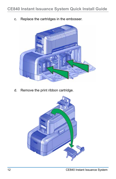c. Replace the cartridges in the embosser.



d. Remove the print ribbon cartridge.

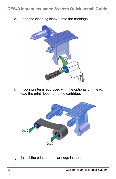e. Load the cleaning sleeve onto the cartridge.



f. If your printer is equipped with the optional printhead, load the print ribbon onto the cartridge.



g. Install the print ribbon cartridge in the printer.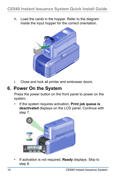h. Load the cards in the hopper. Refer to the diagram inside the input hopper for the correct orientation.



i. Close and lock all printer and embosser doors.

#### **6. Power On the System**

Press the power button on the front panel to power on the system.

• If the system requires activation, **Print job queue is deactivated** displays on the LCD panel. Continue with step 7.



• If activation is not required, **Ready** displays. Skip to step 8.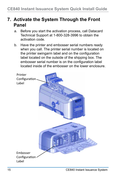### **7. Activate the System Through the Front Panel**

- a. Before you start the activation process, call Datacard Technical Support at 1-800-328-3996 to obtain the activation code.
- b. Have the printer and embosser serial numbers ready when you call. The printer serial number is located on the printer swingarm label and on the configuration label located on the outside of the shipping box. The embosser serial number is on the configuration label located inside of the embosser on the lower enclosure.

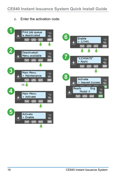c. Enter the activation code.



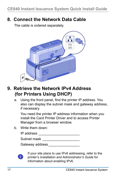#### **8. Connect the Network Data Cable**

The cable is ordered separately.



#### **9. Retrieve the Network IPv4 Address (for Printers Using DHCP)**

a. Using the front panel, find the printer IP address. You also can display the subnet mask and gateway address, if necessary.

You need the printer IP address information when you install the Card Printer Driver and to access Printer Manager from a browser window.

b. Write them down:

| IP address |  |
|------------|--|
|            |  |

Subnet mask **Exercise 2018** 

Gateway address



If your site plans to use IPv6 addressing, refer to the printer's *Installation and Administrator's Guide* for information about enabling IPv6.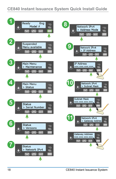#### **CE840 Instant Issuance System Quick Install Guide**

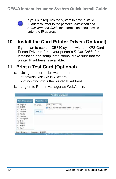

If your site requires the system to have a static IP address, refer to the printer's *Installation and Administrator's Guide* for information about how to enter the IP address.

# **10. Install the Card Printer Driver (Optional)**

If you plan to use the CE840 system with the XPS Card Printer Driver, refer to your printer's *Driver Guide* for installation and setup instructions. Make sure that the printer IP address is available.

### **11. Print a Test Card (Optional)**

- a. Using an Internet browser, enter https://*xxx.xxx.xxx.xxx,* where *xxx.xxx.xxx.xxx* is the printer IP address.
- b. Log on to Printer Manager as WebAdmin.

| Soloct Language:              | Please Log In:                     |                                           |  |
|-------------------------------|------------------------------------|-------------------------------------------|--|
| English<br>○ 日本語<br>O Deutsch | Username.                          | WebAdmin<br>v                             |  |
|                               |                                    | ONo password is needed for this username. |  |
| O Italiano                    | <b>THE REAL PROPERTY</b><br>Log In |                                           |  |
| C Polski<br>C Español         |                                    |                                           |  |
| O Português                   |                                    |                                           |  |
| ○ 한글<br>○ 简体字                 |                                    |                                           |  |
| ○ 繁體字                         |                                    |                                           |  |
| العربية: 0                    |                                    |                                           |  |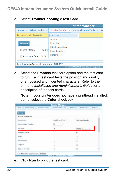c. Select **TroubleShooting >Test Card**.

|                                                |             |                                                   | <b>Printer Manager</b>                            |    |
|------------------------------------------------|-------------|---------------------------------------------------|---------------------------------------------------|----|
| <b>Printer Setting</b><br>Status $\rightarrow$ |             | TroubleShooting $\blacktriangledown$              | Personalization Tools v                           | Fr |
| User successfully logged in.                   |             | <b>Test Card</b>                                  |                                                   |    |
|                                                |             | <b>Activity Log</b>                               |                                                   |    |
| <b>Welcome</b>                                 |             | <b>Reset Log</b>                                  |                                                   |    |
| 1) Web Status                                  | Enabled     | <b>Print Request Log</b><br><b>Reset Counters</b> |                                                   |    |
| 2) Soap Interface                              | <b>DPCL</b> | <b>Printer Reset</b>                              |                                                   |    |
| Level: AdminAccess   Hostname: G10052          |             |                                                   |                                                   |    |
|                                                |             |                                                   | Copyright 2012-2016 Entrust Datacard Corporation. |    |

d. Select the **Emboss** test card option and the test card to run. Each test card tests the position and quality of embossed and indented characters. Refer to the printer's *Installation and Administrator's Guide* for a description of the test cards.

**Note:** If your printer does not have a printhead installed, do not select the **Color** check box.

| <b>Printer Manager</b>                 |                                                      |                          |                      |
|----------------------------------------|------------------------------------------------------|--------------------------|----------------------|
| <b>Printer Setting - 1</b><br>Status - | TroubleShooting - Personalization Tools - Embosser - | Malitianance - Log Out - |                      |
| Test Card                              |                                                      |                          |                      |
| <b>Test Card Print Options</b>         |                                                      |                          | $\lambda$            |
| Description                            | Card Front (Page 1)                                  | Card Back (Page 2)       |                      |
| Input Hopper Number                    | x<br>$\mathcal{A}$                                   |                          |                      |
| Embois                                 | 田                                                    | TestCard1                |                      |
| Magnetic Stripe                        |                                                      | 図                        |                      |
| Color                                  | u                                                    | o                        |                      |
| Monochrome                             | □                                                    | 16.502<br>ū              |                      |
| Topccat                                | П                                                    | □                        |                      |
| Second Topcoat                         | a                                                    | o.                       | $\ddot{\phantom{0}}$ |

e. Click **Run** to print the test card.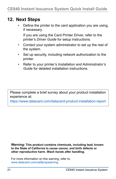#### **12. Next Steps**

• Define the printer to the card application you are using, if necessary.

If you are using the Card Printer Driver, refer to the printer's *Driver Guide* for setup instructions.

- Contact your system administrator to set up the rest of the system.
- Set up security, including network authorization to the printer.
- Refer to your printer's *Installation and Administrator's Guide* for detailed installation instructions.

Please complete a brief survey about your product installation experience at:

https://www.datacard.com/datacard-product-installation-report

**Warning: This product contains chemicals, including lead, known to the State of California to cause cancer, and birth defects or other reproductive harm.** *Wash hands after handling.*

For more information on this warning, refer to: www.datacard.com/califpropwarning.